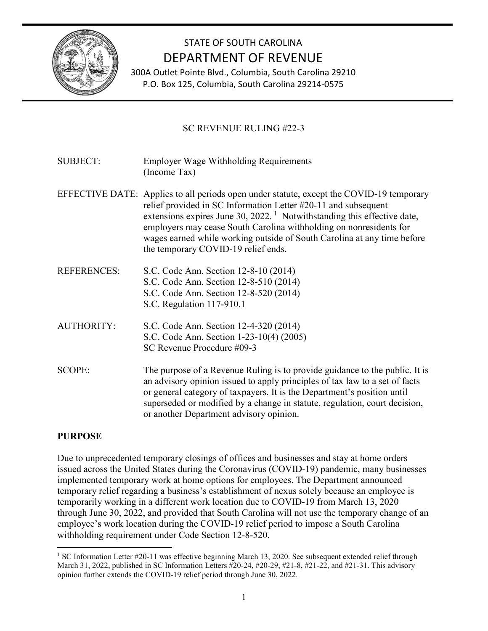

# STATE OF SOUTH CAROLINA DEPARTMENT OF REVENUE

300A Outlet Pointe Blvd., Columbia, South Carolina 29210 P.O. Box 125, Columbia, South Carolina 29214-0575

## SC REVENUE RULING #22-3

SUBJECT: Employer Wage Withholding Requirements (Income Tax)

- EFFECTIVE DATE: Applies to all periods open under statute, except the COVID-19 temporary relief provided in SC Information Letter #20-11 and subsequent extensions expires June  $30, 2022$ .<sup>[1](#page-0-0)</sup> Notwithstanding this effective date, employers may cease South Carolina withholding on nonresidents for wages earned while working outside of South Carolina at any time before the temporary COVID-19 relief ends.
- REFERENCES: S.C. Code Ann. Section 12-8-10 (2014) S.C. Code Ann. Section 12-8-510 (2014) S.C. Code Ann. Section 12-8-520 (2014) S.C. Regulation 117-910.1

AUTHORITY: S.C. Code Ann. Section 12-4-320 (2014) S.C. Code Ann. Section 1-23-10(4) (2005) SC Revenue Procedure #09-3

SCOPE: The purpose of a Revenue Ruling is to provide guidance to the public. It is an advisory opinion issued to apply principles of tax law to a set of facts or general category of taxpayers. It is the Department's position until superseded or modified by a change in statute, regulation, court decision, or another Department advisory opinion.

## **PURPOSE**

Due to unprecedented temporary closings of offices and businesses and stay at home orders issued across the United States during the Coronavirus (COVID-19) pandemic, many businesses implemented temporary work at home options for employees. The Department announced temporary relief regarding a business's establishment of nexus solely because an employee is temporarily working in a different work location due to COVID-19 from March 13, 2020 through June 30, 2022, and provided that South Carolina will not use the temporary change of an employee's work location during the COVID-19 relief period to impose a South Carolina withholding requirement under Code Section 12-8-520.

<span id="page-0-0"></span><sup>&</sup>lt;sup>1</sup> SC Information Letter #20-11 was effective beginning March 13, 2020. See subsequent extended relief through March 31, 2022, published in SC Information Letters #20-24, #20-29, #21-8, #21-22, and #21-31. This advisory opinion further extends the COVID-19 relief period through June 30, 2022.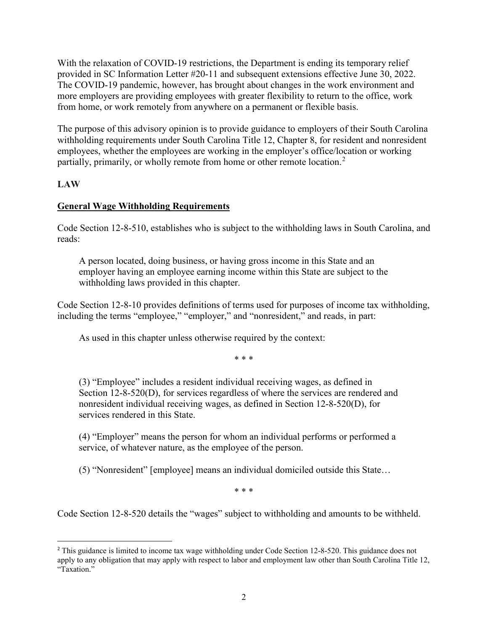With the relaxation of COVID-19 restrictions, the Department is ending its temporary relief provided in SC Information Letter #20-11 and subsequent extensions effective June 30, 2022. The COVID-19 pandemic, however, has brought about changes in the work environment and more employers are providing employees with greater flexibility to return to the office, work from home, or work remotely from anywhere on a permanent or flexible basis.

The purpose of this advisory opinion is to provide guidance to employers of their South Carolina withholding requirements under South Carolina Title 12, Chapter 8, for resident and nonresident employees, whether the employees are working in the employer's office/location or working partially, primarily, or wholly remote from home or other remote location.<sup>[2](#page-1-0)</sup>

## **LAW**

## **General Wage Withholding Requirements**

Code Section 12-8-510, establishes who is subject to the withholding laws in South Carolina, and reads:

A person located, doing business, or having gross income in this State and an employer having an employee earning income within this State are subject to the withholding laws provided in this chapter.

Code Section 12-8-10 provides definitions of terms used for purposes of income tax withholding, including the terms "employee," "employer," and "nonresident," and reads, in part:

As used in this chapter unless otherwise required by the context:

\* \* \*

(3) "Employee" includes a resident individual receiving wages, as defined in Section 12-8-520(D), for services regardless of where the services are rendered and nonresident individual receiving wages, as defined in Section 12-8-520(D), for services rendered in this State.

(4) "Employer" means the person for whom an individual performs or performed a service, of whatever nature, as the employee of the person.

(5) "Nonresident" [employee] means an individual domiciled outside this State…

\* \* \*

Code Section 12-8-520 details the "wages" subject to withholding and amounts to be withheld.

<span id="page-1-0"></span> $\overline{a}$ <sup>2</sup> This guidance is limited to income tax wage withholding under Code Section 12-8-520. This guidance does not apply to any obligation that may apply with respect to labor and employment law other than South Carolina Title 12, "Taxation."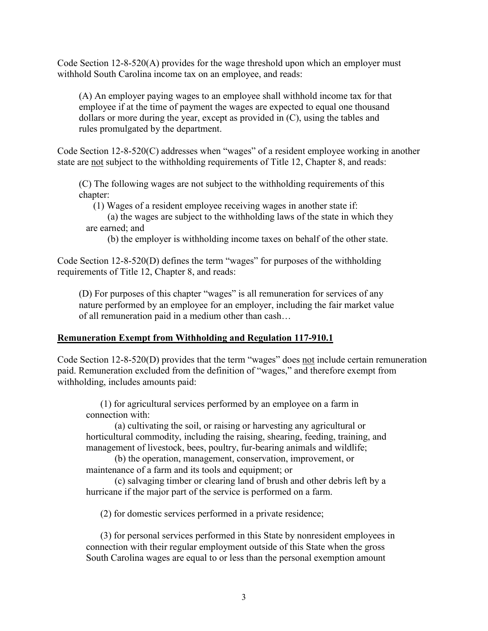Code Section 12-8-520(A) provides for the wage threshold upon which an employer must withhold South Carolina income tax on an employee, and reads:

(A) An employer paying wages to an employee shall withhold income tax for that employee if at the time of payment the wages are expected to equal one thousand dollars or more during the year, except as provided in (C), using the tables and rules promulgated by the department.

Code Section 12-8-520(C) addresses when "wages" of a resident employee working in another state are not subject to the withholding requirements of Title 12, Chapter 8, and reads:

(C) The following wages are not subject to the withholding requirements of this chapter:

(1) Wages of a resident employee receiving wages in another state if:

(a) the wages are subject to the withholding laws of the state in which they are earned; and

(b) the employer is withholding income taxes on behalf of the other state.

Code Section 12-8-520(D) defines the term "wages" for purposes of the withholding requirements of Title 12, Chapter 8, and reads:

(D) For purposes of this chapter "wages" is all remuneration for services of any nature performed by an employee for an employer, including the fair market value of all remuneration paid in a medium other than cash…

#### **Remuneration Exempt from Withholding and Regulation 117-910.1**

Code Section 12-8-520(D) provides that the term "wages" does not include certain remuneration paid. Remuneration excluded from the definition of "wages," and therefore exempt from withholding, includes amounts paid:

(1) for agricultural services performed by an employee on a farm in connection with:

(a) cultivating the soil, or raising or harvesting any agricultural or horticultural commodity, including the raising, shearing, feeding, training, and management of livestock, bees, poultry, fur-bearing animals and wildlife;

(b) the operation, management, conservation, improvement, or maintenance of a farm and its tools and equipment; or

(c) salvaging timber or clearing land of brush and other debris left by a hurricane if the major part of the service is performed on a farm.

(2) for domestic services performed in a private residence;

(3) for personal services performed in this State by nonresident employees in connection with their regular employment outside of this State when the gross South Carolina wages are equal to or less than the personal exemption amount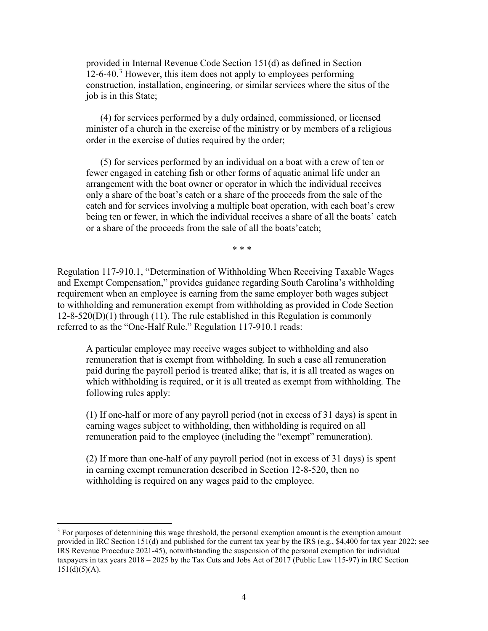provided in Internal Revenue Code Section 151(d) as defined in Section  $12$ -6-40.<sup>[3](#page-3-0)</sup> However, this item does not apply to employees performing construction, installation, engineering, or similar services where the situs of the job is in this State;

(4) for services performed by a duly ordained, commissioned, or licensed minister of a church in the exercise of the ministry or by members of a religious order in the exercise of duties required by the order;

(5) for services performed by an individual on a boat with a crew of ten or fewer engaged in catching fish or other forms of aquatic animal life under an arrangement with the boat owner or operator in which the individual receives only a share of the boat's catch or a share of the proceeds from the sale of the catch and for services involving a multiple boat operation, with each boat's crew being ten or fewer, in which the individual receives a share of all the boats' catch or a share of the proceeds from the sale of all the boats'catch;

\* \* \*

Regulation 117-910.1, "Determination of Withholding When Receiving Taxable Wages and Exempt Compensation," provides guidance regarding South Carolina's withholding requirement when an employee is earning from the same employer both wages subject to withholding and remuneration exempt from withholding as provided in Code Section  $12-8-520(D)(1)$  through (11). The rule established in this Regulation is commonly referred to as the "One-Half Rule." Regulation 117-910.1 reads:

A particular employee may receive wages subject to withholding and also remuneration that is exempt from withholding. In such a case all remuneration paid during the payroll period is treated alike; that is, it is all treated as wages on which withholding is required, or it is all treated as exempt from withholding. The following rules apply:

(1) If one-half or more of any payroll period (not in excess of 31 days) is spent in earning wages subject to withholding, then withholding is required on all remuneration paid to the employee (including the "exempt" remuneration).

(2) If more than one-half of any payroll period (not in excess of 31 days) is spent in earning exempt remuneration described in Section 12-8-520, then no withholding is required on any wages paid to the employee.

<span id="page-3-0"></span><sup>&</sup>lt;sup>3</sup> For purposes of determining this wage threshold, the personal exemption amount is the exemption amount provided in IRC Section 151(d) and published for the current tax year by the IRS (e.g., \$4,400 for tax year 2022; see IRS Revenue Procedure 2021-45), notwithstanding the suspension of the personal exemption for individual taxpayers in tax years 2018 – 2025 by the Tax Cuts and Jobs Act of 2017 (Public Law 115-97) in IRC Section  $151(d)(5)(A).$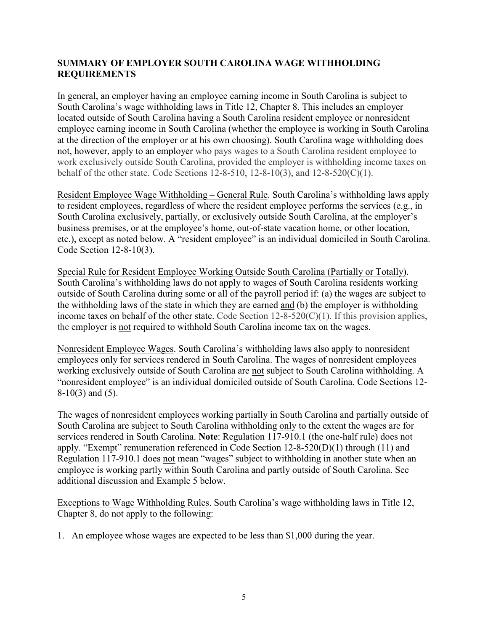## **SUMMARY OF EMPLOYER SOUTH CAROLINA WAGE WITHHOLDING REQUIREMENTS**

In general, an employer having an employee earning income in South Carolina is subject to South Carolina's wage withholding laws in Title 12, Chapter 8. This includes an employer located outside of South Carolina having a South Carolina resident employee or nonresident employee earning income in South Carolina (whether the employee is working in South Carolina at the direction of the employer or at his own choosing). South Carolina wage withholding does not, however, apply to an employer who pays wages to a South Carolina resident employee to work exclusively outside South Carolina, provided the employer is withholding income taxes on behalf of the other state. Code Sections 12-8-510, 12-8-10(3), and 12-8-520(C)(1).

Resident Employee Wage Withholding – General Rule. South Carolina's withholding laws apply to resident employees, regardless of where the resident employee performs the services (e.g., in South Carolina exclusively, partially, or exclusively outside South Carolina, at the employer's business premises, or at the employee's home, out-of-state vacation home, or other location, etc.), except as noted below. A "resident employee" is an individual domiciled in South Carolina. Code Section 12-8-10(3).

Special Rule for Resident Employee Working Outside South Carolina (Partially or Totally). South Carolina's withholding laws do not apply to wages of South Carolina residents working outside of South Carolina during some or all of the payroll period if: (a) the wages are subject to the withholding laws of the state in which they are earned and (b) the employer is withholding income taxes on behalf of the other state. Code Section  $12-8-520(C)(1)$ . If this provision applies, the employer is not required to withhold South Carolina income tax on the wages.

Nonresident Employee Wages. South Carolina's withholding laws also apply to nonresident employees only for services rendered in South Carolina. The wages of nonresident employees working exclusively outside of South Carolina are not subject to South Carolina withholding. A "nonresident employee" is an individual domiciled outside of South Carolina. Code Sections 12- 8-10(3) and (5).

The wages of nonresident employees working partially in South Carolina and partially outside of South Carolina are subject to South Carolina withholding only to the extent the wages are for services rendered in South Carolina. **Note**: Regulation 117-910.1 (the one-half rule) does not apply. "Exempt" remuneration referenced in Code Section 12-8-520(D)(1) through (11) and Regulation 117-910.1 does not mean "wages" subject to withholding in another state when an employee is working partly within South Carolina and partly outside of South Carolina. See additional discussion and Example 5 below.

Exceptions to Wage Withholding Rules. South Carolina's wage withholding laws in Title 12, Chapter 8, do not apply to the following:

1. An employee whose wages are expected to be less than \$1,000 during the year.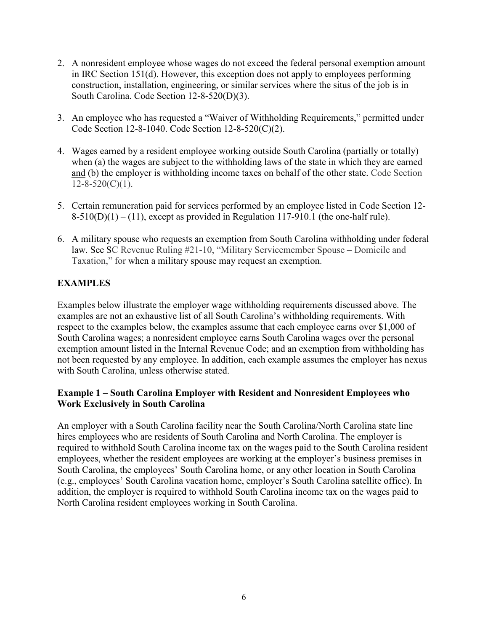- 2. A nonresident employee whose wages do not exceed the federal personal exemption amount in IRC Section 151(d). However, this exception does not apply to employees performing construction, installation, engineering, or similar services where the situs of the job is in South Carolina. Code Section 12-8-520(D)(3).
- 3. An employee who has requested a "Waiver of Withholding Requirements," permitted under Code Section 12-8-1040. Code Section 12-8-520(C)(2).
- 4. Wages earned by a resident employee working outside South Carolina (partially or totally) when (a) the wages are subject to the withholding laws of the state in which they are earned and (b) the employer is withholding income taxes on behalf of the other state. Code Section  $12 - 8 - 520(C)(1)$ .
- 5. Certain remuneration paid for services performed by an employee listed in Code Section 12-  $8-510(D)(1) - (11)$ , except as provided in Regulation 117-910.1 (the one-half rule).
- 6. A military spouse who requests an exemption from South Carolina withholding under federal law. See SC Revenue Ruling #21-10, "Military Servicemember Spouse – Domicile and Taxation," for when a military spouse may request an exemption.

# **EXAMPLES**

Examples below illustrate the employer wage withholding requirements discussed above. The examples are not an exhaustive list of all South Carolina's withholding requirements. With respect to the examples below, the examples assume that each employee earns over \$1,000 of South Carolina wages; a nonresident employee earns South Carolina wages over the personal exemption amount listed in the Internal Revenue Code; and an exemption from withholding has not been requested by any employee. In addition, each example assumes the employer has nexus with South Carolina, unless otherwise stated.

#### **Example 1 – South Carolina Employer with Resident and Nonresident Employees who Work Exclusively in South Carolina**

An employer with a South Carolina facility near the South Carolina/North Carolina state line hires employees who are residents of South Carolina and North Carolina. The employer is required to withhold South Carolina income tax on the wages paid to the South Carolina resident employees, whether the resident employees are working at the employer's business premises in South Carolina, the employees' South Carolina home, or any other location in South Carolina (e.g., employees' South Carolina vacation home, employer's South Carolina satellite office). In addition, the employer is required to withhold South Carolina income tax on the wages paid to North Carolina resident employees working in South Carolina.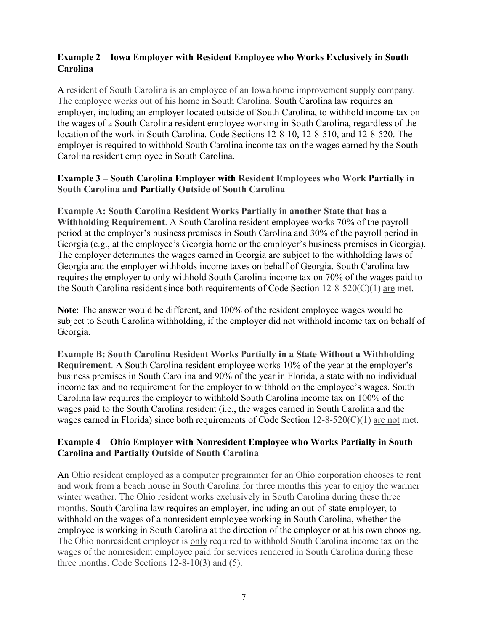## **Example 2 – Iowa Employer with Resident Employee who Works Exclusively in South Carolina**

A resident of South Carolina is an employee of an Iowa home improvement supply company. The employee works out of his home in South Carolina. South Carolina law requires an employer, including an employer located outside of South Carolina, to withhold income tax on the wages of a South Carolina resident employee working in South Carolina, regardless of the location of the work in South Carolina. Code Sections 12-8-10, 12-8-510, and 12-8-520. The employer is required to withhold South Carolina income tax on the wages earned by the South Carolina resident employee in South Carolina.

#### **Example 3 – South Carolina Employer with Resident Employees who Work Partially in South Carolina and Partially Outside of South Carolina**

**Example A: South Carolina Resident Works Partially in another State that has a Withholding Requirement**. A South Carolina resident employee works 70% of the payroll period at the employer's business premises in South Carolina and 30% of the payroll period in Georgia (e.g., at the employee's Georgia home or the employer's business premises in Georgia). The employer determines the wages earned in Georgia are subject to the withholding laws of Georgia and the employer withholds income taxes on behalf of Georgia. South Carolina law requires the employer to only withhold South Carolina income tax on 70% of the wages paid to the South Carolina resident since both requirements of Code Section  $12-8-520(C)(1)$  are met.

**Note**: The answer would be different, and 100% of the resident employee wages would be subject to South Carolina withholding, if the employer did not withhold income tax on behalf of Georgia.

**Example B: South Carolina Resident Works Partially in a State Without a Withholding Requirement**. A South Carolina resident employee works 10% of the year at the employer's business premises in South Carolina and 90% of the year in Florida, a state with no individual income tax and no requirement for the employer to withhold on the employee's wages. South Carolina law requires the employer to withhold South Carolina income tax on 100% of the wages paid to the South Carolina resident (i.e., the wages earned in South Carolina and the wages earned in Florida) since both requirements of Code Section  $12-8-520(C)(1)$  are not met.

## **Example 4 – Ohio Employer with Nonresident Employee who Works Partially in South Carolina and Partially Outside of South Carolina**

An Ohio resident employed as a computer programmer for an Ohio corporation chooses to rent and work from a beach house in South Carolina for three months this year to enjoy the warmer winter weather. The Ohio resident works exclusively in South Carolina during these three months. South Carolina law requires an employer, including an out-of-state employer, to withhold on the wages of a nonresident employee working in South Carolina, whether the employee is working in South Carolina at the direction of the employer or at his own choosing. The Ohio nonresident employer is only required to withhold South Carolina income tax on the wages of the nonresident employee paid for services rendered in South Carolina during these three months. Code Sections 12-8-10(3) and (5).